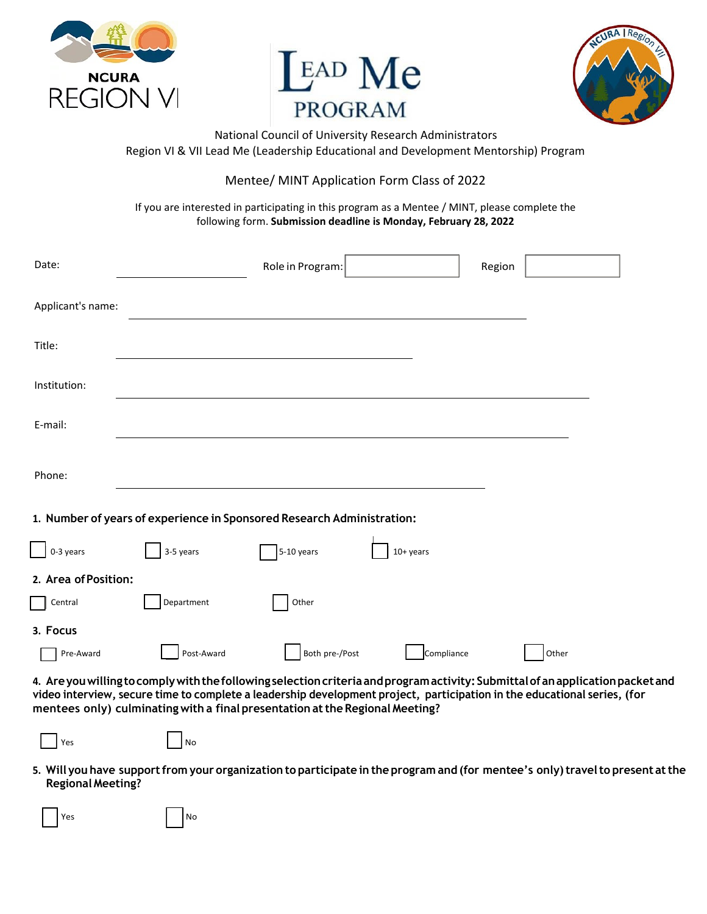





National Council of University Research Administrators Region VI & VII Lead Me (Leadership Educational and Development Mentorship) Program

## Mentee/ MINT Application Form Class of 2022

If you are interested in participating in this program as a Mentee / MINT, please complete the following form. **Submission deadline is Monday, February 28, 2022**

| Date:                |            | Role in Program:                                                       |             | Region |       |
|----------------------|------------|------------------------------------------------------------------------|-------------|--------|-------|
| Applicant's name:    |            |                                                                        |             |        |       |
| Title:               |            |                                                                        |             |        |       |
| Institution:         |            |                                                                        |             |        |       |
| E-mail:              |            |                                                                        |             |        |       |
| Phone:               |            |                                                                        |             |        |       |
|                      |            | 1. Number of years of experience in Sponsored Research Administration: |             |        |       |
| $\Box$ 0-3 years     | 3-5 years  | 5-10 years                                                             | $10+$ years |        |       |
| 2. Area of Position: |            |                                                                        |             |        |       |
| $\Box$ Central       | Department | Other                                                                  |             |        |       |
| 3. Focus             |            |                                                                        |             |        |       |
| Pre-Award            | Post-Award | Both pre-/Post                                                         | Compliance  |        | Other |

**4. Areyouwillingtocomplywiththefollowingselectioncriteria and programactivity:Submittalofanapplication packet and video interview, secure time to complete a leadership development project, participation in the educational series, (for mentees only) culminating with a final presentation at the Regional Meeting?**

|--|

Yes No

**5. Will you have supportfrom your organization to participate in the program and (for mentee's only) travel to present at the Regional Meeting?**

| I<br>  Yes |  | ٩o |
|------------|--|----|
|------------|--|----|